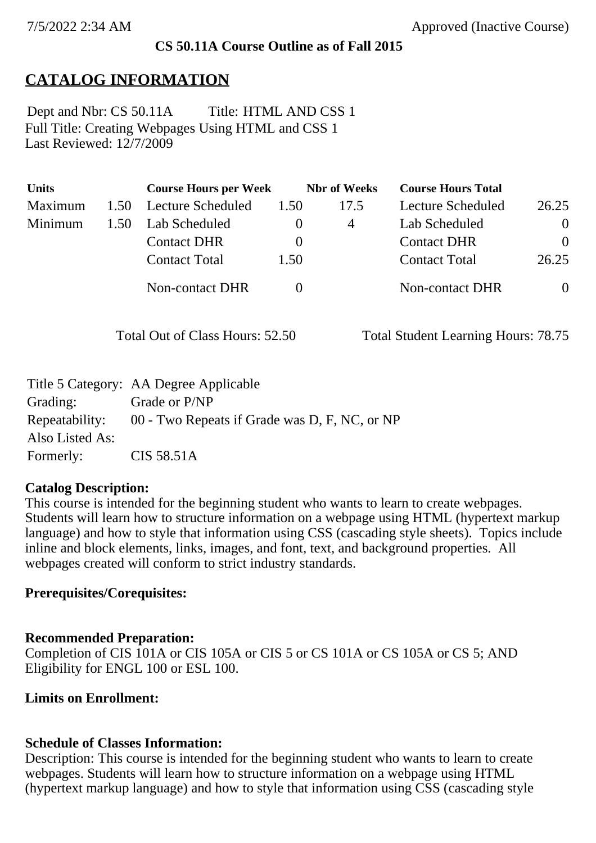## **CS 50.11A Course Outline as of Fall 2015**

# **CATALOG INFORMATION**

Full Title: Creating Webpages Using HTML and CSS 1 Last Reviewed: 12/7/2009 Dept and Nbr: CS 50.11A Title: HTML AND CSS 1

| <b>Units</b> |      | <b>Course Hours per Week</b> |          | <b>Nbr</b> of Weeks | <b>Course Hours Total</b> |                |
|--------------|------|------------------------------|----------|---------------------|---------------------------|----------------|
| Maximum      | 1.50 | Lecture Scheduled            | 1.50     | 17.5                | Lecture Scheduled         | 26.25          |
| Minimum      | 1.50 | Lab Scheduled                | $\theta$ | 4                   | Lab Scheduled             | $\overline{0}$ |
|              |      | <b>Contact DHR</b>           | $\theta$ |                     | <b>Contact DHR</b>        | $\Omega$       |
|              |      | <b>Contact Total</b>         | 1.50     |                     | <b>Contact Total</b>      | 26.25          |
|              |      | Non-contact DHR              |          |                     | Non-contact DHR           | $\overline{0}$ |

Total Out of Class Hours: 52.50 Total Student Learning Hours: 78.75

|                 | Title 5 Category: AA Degree Applicable        |
|-----------------|-----------------------------------------------|
| Grading:        | Grade or P/NP                                 |
| Repeatability:  | 00 - Two Repeats if Grade was D, F, NC, or NP |
| Also Listed As: |                                               |
| Formerly:       | CIS 58.51A                                    |

## **Catalog Description:**

This course is intended for the beginning student who wants to learn to create webpages. Students will learn how to structure information on a webpage using HTML (hypertext markup language) and how to style that information using CSS (cascading style sheets). Topics include inline and block elements, links, images, and font, text, and background properties. All webpages created will conform to strict industry standards.

## **Prerequisites/Corequisites:**

## **Recommended Preparation:**

Completion of CIS 101A or CIS 105A or CIS 5 or CS 101A or CS 105A or CS 5; AND Eligibility for ENGL 100 or ESL 100.

## **Limits on Enrollment:**

## **Schedule of Classes Information:**

Description: This course is intended for the beginning student who wants to learn to create webpages. Students will learn how to structure information on a webpage using HTML (hypertext markup language) and how to style that information using CSS (cascading style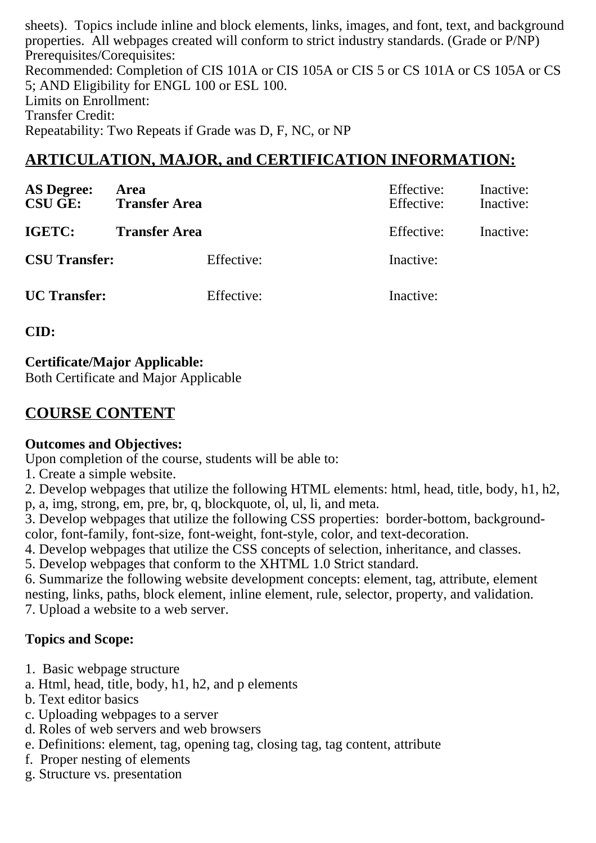sheets). Topics include inline and block elements, links, images, and font, text, and background properties. All webpages created will conform to strict industry standards. (Grade or P/NP) Prerequisites/Corequisites: Recommended: Completion of CIS 101A or CIS 105A or CIS 5 or CS 101A or CS 105A or CS 5; AND Eligibility for ENGL 100 or ESL 100. Limits on Enrollment: Transfer Credit: Repeatability: Two Repeats if Grade was D, F, NC, or NP

# **ARTICULATION, MAJOR, and CERTIFICATION INFORMATION:**

| <b>AS Degree:</b><br><b>CSU GE:</b> | Area<br><b>Transfer Area</b> | Effective:<br>Effective: | Inactive:<br>Inactive: |
|-------------------------------------|------------------------------|--------------------------|------------------------|
| IGETC:                              | <b>Transfer Area</b>         | Effective:               | Inactive:              |
| <b>CSU Transfer:</b>                | Effective:                   | Inactive:                |                        |
| <b>UC</b> Transfer:                 | Effective:                   | Inactive:                |                        |

**CID:**

## **Certificate/Major Applicable:**

[Both Certificate and Major Applicable](SR_ClassCheck.aspx?CourseKey=CS50.11A)

# **COURSE CONTENT**

## **Outcomes and Objectives:**

Upon completion of the course, students will be able to:

1. Create a simple website.

2. Develop webpages that utilize the following HTML elements: html, head, title, body, h1, h2, p, a, img, strong, em, pre, br, q, blockquote, ol, ul, li, and meta.

3. Develop webpages that utilize the following CSS properties: border-bottom, backgroundcolor, font-family, font-size, font-weight, font-style, color, and text-decoration.

4. Develop webpages that utilize the CSS concepts of selection, inheritance, and classes.

5. Develop webpages that conform to the XHTML 1.0 Strict standard.

6. Summarize the following website development concepts: element, tag, attribute, element nesting, links, paths, block element, inline element, rule, selector, property, and validation. 7. Upload a website to a web server.

# **Topics and Scope:**

- 1. Basic webpage structure
- a. Html, head, title, body, h1, h2, and p elements
- b. Text editor basics
- c. Uploading webpages to a server
- d. Roles of web servers and web browsers
- e. Definitions: element, tag, opening tag, closing tag, tag content, attribute
- f. Proper nesting of elements
- g. Structure vs. presentation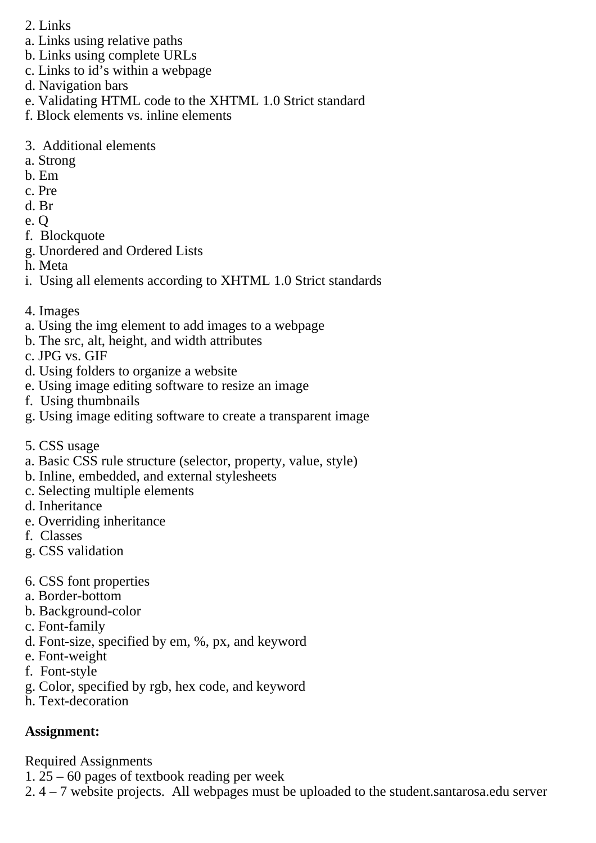- 2. Links
- a. Links using relative paths
- b. Links using complete URLs
- c. Links to id's within a webpage
- d. Navigation bars
- e. Validating HTML code to the XHTML 1.0 Strict standard
- f. Block elements vs. inline elements
- 3. Additional elements
- a. Strong
- b. Em
- c. Pre
- d. Br
- e. Q
- f. Blockquote
- g. Unordered and Ordered Lists
- h. Meta
- i. Using all elements according to XHTML 1.0 Strict standards
- 4. Images
- a. Using the img element to add images to a webpage
- b. The src, alt, height, and width attributes
- c. JPG vs. GIF
- d. Using folders to organize a website
- e. Using image editing software to resize an image
- f. Using thumbnails
- g. Using image editing software to create a transparent image
- 5. CSS usage
- a. Basic CSS rule structure (selector, property, value, style)
- b. Inline, embedded, and external stylesheets
- c. Selecting multiple elements
- d. Inheritance
- e. Overriding inheritance
- f. Classes
- g. CSS validation
- 6. CSS font properties
- a. Border-bottom
- b. Background-color
- c. Font-family
- d. Font-size, specified by em, %, px, and keyword
- e. Font-weight
- f. Font-style
- g. Color, specified by rgb, hex code, and keyword
- h. Text-decoration

# **Assignment:**

Required Assignments

- 1.  $25 60$  pages of textbook reading per week
- 2. 4 7 website projects. All webpages must be uploaded to the student.santarosa.edu server